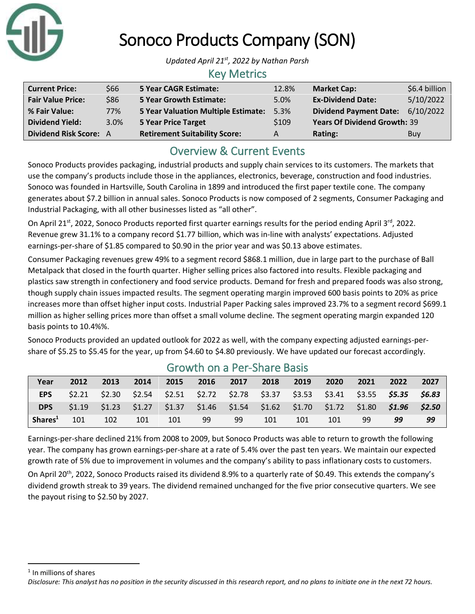

# Sonoco Products Company (SON)

*Updated April 21st , 2022 by Nathan Parsh*

#### Key Metrics

| <b>Current Price:</b>         | \$66 | <b>5 Year CAGR Estimate:</b>               | 12.8% | <b>Market Cap:</b>                  | \$6.4 billion |
|-------------------------------|------|--------------------------------------------|-------|-------------------------------------|---------------|
| <b>Fair Value Price:</b>      | \$86 | <b>5 Year Growth Estimate:</b>             | 5.0%  | <b>Ex-Dividend Date:</b>            | 5/10/2022     |
| % Fair Value:                 | 77%  | <b>5 Year Valuation Multiple Estimate:</b> | 5.3%  | <b>Dividend Payment Date:</b>       | 6/10/2022     |
| <b>Dividend Yield:</b>        | 3.0% | <b>5 Year Price Target</b>                 | \$109 | <b>Years Of Dividend Growth: 39</b> |               |
| <b>Dividend Risk Score: A</b> |      | <b>Retirement Suitability Score:</b>       | A     | Rating:                             | Buy           |

## Overview & Current Events

Sonoco Products provides packaging, industrial products and supply chain services to its customers. The markets that use the company's products include those in the appliances, electronics, beverage, construction and food industries. Sonoco was founded in Hartsville, South Carolina in 1899 and introduced the first paper textile cone. The company generates about \$7.2 billion in annual sales. Sonoco Products is now composed of 2 segments, Consumer Packaging and Industrial Packaging, with all other businesses listed as "all other".

On April 21<sup>st</sup>, 2022, Sonoco Products reported first quarter earnings results for the period ending April 3<sup>rd</sup>, 2022. Revenue grew 31.1% to a company record \$1.77 billion, which was in-line with analysts' expectations. Adjusted earnings-per-share of \$1.85 compared to \$0.90 in the prior year and was \$0.13 above estimates.

Consumer Packaging revenues grew 49% to a segment record \$868.1 million, due in large part to the purchase of Ball Metalpack that closed in the fourth quarter. Higher selling prices also factored into results. Flexible packaging and plastics saw strength in confectionery and food service products. Demand for fresh and prepared foods was also strong, though supply chain issues impacted results. The segment operating margin improved 600 basis points to 20% as price increases more than offset higher input costs. Industrial Paper Packing sales improved 23.7% to a segment record \$699.1 million as higher selling prices more than offset a small volume decline. The segment operating margin expanded 120 basis points to 10.4%%.

Sonoco Products provided an updated outlook for 2022 as well, with the company expecting adjusted earnings-pershare of \$5.25 to \$5.45 for the year, up from \$4.60 to \$4.80 previously. We have updated our forecast accordingly.

| Year                | 2012 | 2013            | 2014 | 2015 | 2016 2017 2018 |     |     | 2019 | 2020 | $-2021$ | 2022                                                                                       | 2027 |
|---------------------|------|-----------------|------|------|----------------|-----|-----|------|------|---------|--------------------------------------------------------------------------------------------|------|
| <b>EPS</b>          |      | $$2.21$ $$2.30$ |      |      |                |     |     |      |      |         | $$2.54$ $$2.51$ $$2.72$ $$2.78$ $$3.37$ $$3.53$ $$3.41$ $$3.55$ $$5.35$ $$6.83$            |      |
| <b>DPS</b>          |      |                 |      |      |                |     |     |      |      |         | \$1.19 \$1.23 \$1.27 \$1.37 \$1.46 \$1.54 \$1.62 \$1.70 \$1.72 \$1.80 <b>\$1.96 \$2.50</b> |      |
| Shares <sup>1</sup> | 101  | 102             | 101  | 101  | 99             | -99 | 101 | 101  | 101  | 99      | 99                                                                                         | 99   |

### Growth on a Per-Share Basis

Earnings-per-share declined 21% from 2008 to 2009, but Sonoco Products was able to return to growth the following year. The company has grown earnings-per-share at a rate of 5.4% over the past ten years. We maintain our expected growth rate of 5% due to improvement in volumes and the company's ability to pass inflationary costs to customers.

On April 20<sup>th</sup>, 2022, Sonoco Products raised its dividend 8.9% to a quarterly rate of \$0.49. This extends the company's dividend growth streak to 39 years. The dividend remained unchanged for the five prior consecutive quarters. We see the payout rising to \$2.50 by 2027.

*Disclosure: This analyst has no position in the security discussed in this research report, and no plans to initiate one in the next 72 hours.* <sup>1</sup> In millions of shares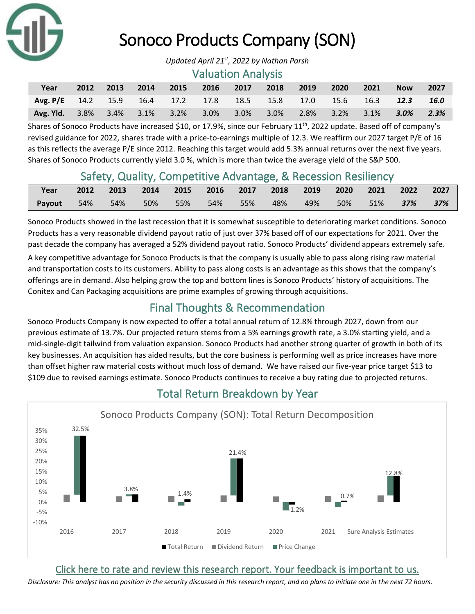

# Sonoco Products Company (SON)

#### Valuation Analysis

| Year                                                       | 2012 | 2013 | $\sim$ 2014 | 2015 2016 2017 | 2018 | 2019 | 2020                                    | 2021 | <b>Now</b> | 2027   |
|------------------------------------------------------------|------|------|-------------|----------------|------|------|-----------------------------------------|------|------------|--------|
| Avg. P/E 14.2 15.9 16.4 17.2 17.8 18.5 15.8 17.0 15.6 16.3 |      |      |             |                |      |      |                                         |      | 12.3       | - 16.0 |
| <b>Avg. Yid.</b> $3.8\%$ $3.4\%$ $3.1\%$ $3.2\%$ $3.0\%$   |      |      |             |                |      |      | $3.0\%$ $3.0\%$ $2.8\%$ $3.2\%$ $3.1\%$ |      | $3.0\%$    | 2.3%   |

Shares of Sonoco Products have increased \$10, or 17.9%, since our February 11<sup>th</sup>, 2022 update. Based off of company's revised guidance for 2022, shares trade with a price-to-earnings multiple of 12.3. We reaffirm our 2027 target P/E of 16 as this reflects the average P/E since 2012. Reaching this target would add 5.3% annual returns over the next five years. Shares of Sonoco Products currently yield 3.0 %, which is more than twice the average yield of the S&P 500.

### Safety, Quality, Competitive Advantage, & Recession Resiliency

| Year   |  | 2012 2013 2014 2015 2016 2017 2018 2019 2020 2021 2022 2027 |  |  |  |  |  |
|--------|--|-------------------------------------------------------------|--|--|--|--|--|
| Payout |  | 54% 54% 50% 55% 54% 55% 48% 49% 50% 51% <b>37% 37%</b>      |  |  |  |  |  |

Sonoco Products showed in the last recession that it is somewhat susceptible to deteriorating market conditions. Sonoco Products has a very reasonable dividend payout ratio of just over 37% based off of our expectations for 2021. Over the past decade the company has averaged a 52% dividend payout ratio. Sonoco Products' dividend appears extremely safe.

A key competitive advantage for Sonoco Products is that the company is usually able to pass along rising raw material and transportation costs to its customers. Ability to pass along costs is an advantage as this shows that the company's offerings are in demand. Also helping grow the top and bottom lines is Sonoco Products' history of acquisitions. The Conitex and Can Packaging acquisitions are prime examples of growing through acquisitions.

### Final Thoughts & Recommendation

Sonoco Products Company is now expected to offer a total annual return of 12.8% through 2027, down from our previous estimate of 13.7%. Our projected return stems from a 5% earnings growth rate, a 3.0% starting yield, and a mid-single-digit tailwind from valuation expansion. Sonoco Products had another strong quarter of growth in both of its key businesses. An acquisition has aided results, but the core business is performing well as price increases have more than offset higher raw material costs without much loss of demand. We have raised our five-year price target \$13 to \$109 due to revised earnings estimate. Sonoco Products continues to receive a buy rating due to projected returns.



# Total Return Breakdown by Year

[Click here to rate and review this research report. Your feedback is important to us.](https://suredividend.typeform.com/to/pOfbkh)

*Disclosure: This analyst has no position in the security discussed in this research report, and no plans to initiate one in the next 72 hours.*

*Updated April 21st , 2022 by Nathan Parsh*